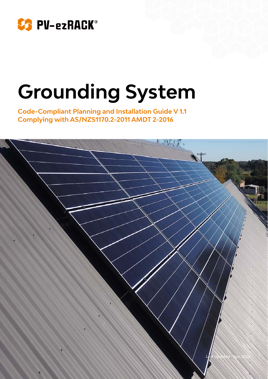

# **Grounding System**

**Code-Compliant Planning and Installation Guide V 1.1 Complying with AS/NZS1170.2-2011 AMDT 2-2016**

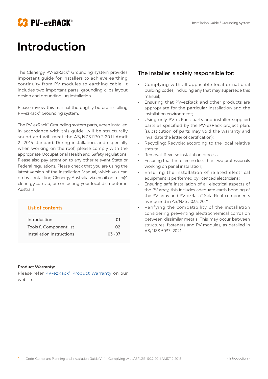



## **Introduction**

The Clenergy PV-ezRack<sup>®</sup> Grounding system provides important guide for installers to achieve earthing continuity from PV modules to earthing cable. It includes two important parts: grounding clips layout design and grounding lug installation.

Please review this manual thoroughly before installing PV-ezRack® Grounding system.

The PV-ezRack® Grounding system parts, when installed in accordance with this guide, will be structurally sound and will meet the AS/NZS1170.2:2011 Amdt 2- 2016 standard. During installation, and especially when working on the roof, please comply with the appropriate Occupational Health and Safety regulations. Please also pay attention to any other relevant State or Federal regulations. Please check that you are using the latest version of the Installation Manual, which you can do by contacting Clenergy Australia via email on tech@ clenergy.com.au, or contacting your local distributor in Australia.

| <b>List of contents</b>   |           |  |  |  |  |  |  |  |  |  |
|---------------------------|-----------|--|--|--|--|--|--|--|--|--|
| Introduction              | 01        |  |  |  |  |  |  |  |  |  |
| Tools & Component list    | 02        |  |  |  |  |  |  |  |  |  |
| Installation Instructions | $03 - 07$ |  |  |  |  |  |  |  |  |  |

#### The installer is solely responsible for:

- Complying with all applicable local or national building codes, including any that may supersede this manual; •
- Ensuring that PV-ezRack and other products are appropriate for the particular installation and the installation environment; •
- Using only PV-ezRack parts and installer-supplied parts as specified by the PV-ezRack project plan. (substitution of parts may void the warranty and invalidate the letter of certification); •
- Recycling: Recycle: according to the local relative statute. •
- Removal: Reverse installation process. •
- Ensuring that there are no less than two professionals working on panel installation; •
- Ensuring the installation of related electrical equipment is performed by licenced electricians; •
- Ensuring safe installation of all electrical aspects of the PV array, this includes adequate earth bonding of the PV array and PV-ezRack® SolarRoof components as required in AS/NZS 5033: 2021; •
- Verifying the compatibility of the installation considering preventing electrochemical corrosion between dissimilar metals. This may occur between structures, fasteners and PV modules, as detailed in AS/NZS 5033: 2021. •

#### **Product Warranty:**

Please refer [PV-ezRack® Product Warranty](https://www.clenergy.com.au/downloads/pvezrack-product-warranty-2022/) on our website.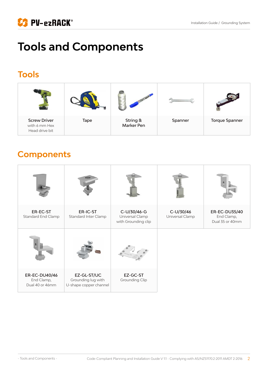

# **Tools and Components**

### **Tools**



### **Components**

| ER-EC-ST<br>Standard End Clamp                 | ER-IC-ST<br>Standard Inter Clamp                            | C-U/30/46-G<br>Universal Clamp<br>with Grounding clip | C-U/30/46<br>Universal Clamp | ER-EC-DU35/40<br>End Clamp,<br>Dual 35 or 40mm |
|------------------------------------------------|-------------------------------------------------------------|-------------------------------------------------------|------------------------------|------------------------------------------------|
|                                                |                                                             |                                                       |                              |                                                |
| ER-EC-DU40/46<br>End Clamp,<br>Dual 40 or 46mm | EZ-GL-ST/UC<br>Grounding lug with<br>U-shape copper channel | EZ-GC-ST<br>Grounding Clip                            |                              |                                                |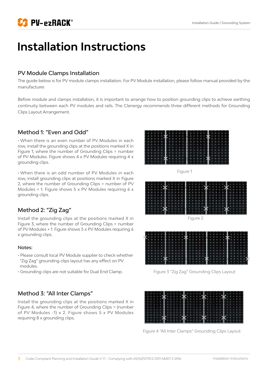

# **Installation Instructions**

#### PV Module Clamps Installation

The guide below is for PV module clamps installation. For PV Module installation, please follow manual provided by the manufacturer.

Before module and clamps installation, it is important to arrange how to position grounding clips to achieve earthing continuity between each PV modules and rails. The Clenergy recommends three different methods for Grounding Clips Layout Arrangement.

#### Method 1: "Even and Odd"

• When there is an even number of PV Modules in each row, install the grounding clips at the positions marked X in Figure 1, where the number of Grounding Clips = number of PV Modules. Figure shows 4 x PV Modules requiring 4 x grounding clips.

• When there is an odd number of PV Modules in each row, install grounding clips at positions marked X in Figure 2, where the number of Grounding Clips = number of PV Modules + 1. Figure shows 5 x PV Modules requiring 6 x grounding clips.

#### Method 2: "Zig Zag"

Install the grounding clips at the positions marked X in Figure 3, where the number of Grounding Clips = number of PV Modules + 1. Figure shows 5 x PV Modules requiring 6 x grounding clips.

#### Notes:

- Please consult local PV Module supplier to check whether "Zig Zag" grounding clips layout has any effect on PV modules.
- Grounding clips are not suitable for Dual End Clamp.

#### Method 3: "All Inter Clamps"

Install the grounding clips at the positions marked X in Figure 4, where the number of Grounding Clips = (number of PV Modules -1) x 2. Figure shows 5 x PV Modules requiring 8 x grounding clips.



Figure 1





Figure 3 "Zig Zag" Grounding Clips Layout

Figure 4 "All Inter Clamps" Grounding Clips Layout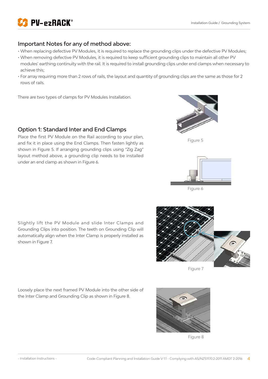

#### Important Notes for any of method above:

- When replacing defective PV Modules, it is required to replace the grounding clips under the defective PV Modules;
- When removing defective PV Modules, it is required to keep sufficient grounding clips to maintain all other PV modules' earthing continuity with the rail. It is required to install grounding clips under end clamps when necessary to achieve this;
- For array requiring more than 2 rows of rails, the layout and quantity of grounding clips are the same as those for 2 rows of rails.

There are two types of clamps for PV Modules Installation.

#### Option 1: Standard Inter and End Clamps

Place the first PV Module on the Rail according to your plan, and fix it in place using the End Clamps. Then fasten lightly as shown in Figure 5. If arranging grounding clips using "Zig Zag" layout method above, a grounding clip needs to be installed under an end clamp as shown in Figure 6.







Figure 6

Slightly lift the PV Module and slide Inter Clamps and Grounding Clips into position. The teeth on Grounding Clip will automatically align when the Inter Clamp is properly installed as shown in Figure 7.



Figure 7

Loosely place the next framed PV Module into the other side of the Inter Clamp and Grounding Clip as shown in Figure 8.



Figure 8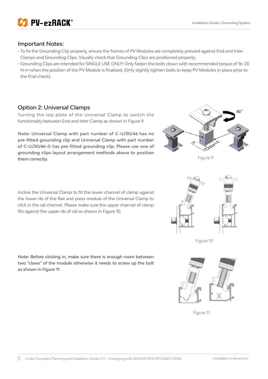

#### Important Notes:

- To fix the Grounding Clip properly, ensure the frames of PV Modules are completely pressed against End and Inter Clamps and Grounding Clips. Visually check that Grounding Clips are positioned properly;
- Grounding Clips are intended for SINGLE USE ONLY! Only fasten the bolts down with recommended torque of 16~20 N·m when the position of the PV Module is finalized. (Only slightly tighten bolts to keep PV Modules in place prior to the final check).

#### Option 2: Universal Clamps

Turning the top plate of the Universal Clamp to switch the functionality between End and Inter Clamp as shown in Figure 9.

Note: Universal Clamp with part number of C-U/30/46 has no pre-fitted grounding clip and Universal Clamp with part number of C-U/30/46-G has pre-fitted grounding clip. Please use one of grounding clips layout arrangement methods above to position them correctly.



Note: Before clicking in, make sure there is enough room between two "claws" of the module otherwise it needs to screw up the bolt as shown in Figure 11.



Figure 9



Figure 10



Figure 11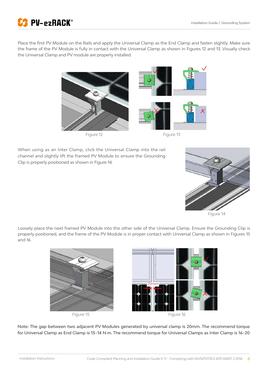

Place the first PV Module on the Rails and apply the Universal Clamp as the End Clamp and fasten slightly. Make sure the frame of the PV Module is fully in contact with the Universal Clamp as shown in Figures 12 and 13. Visually check the Universal Clamp and PV module are properly installed.



When using as an Inter Clamp, click the Universal Clamp into the rail channel and slightly lift the framed PV Module to ensure the Grounding Clip is properly positioned as shown in Figure 14.



Figure 14

Loosely place the next framed PV Module into the other side of the Universal Clamp. Ensure the Grounding Clip is properly positioned, and the frame of the PV Module is in proper contact with Universal Clamp as shown in Figures 15 and 16.



Note: The gap between two adjacent PV Modules generated by universal clamp is 20mm. The recommend torque for Universal Clamp as End Clamp is 13~14 N·m. The recommend torque for Universal Clamps as Inter Clamp is 16~20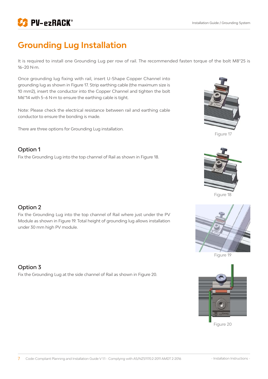

### **Grounding Lug Installation**

It is required to install one Grounding Lug per row of rail. The recommended fasten torque of the bolt M8\*25 is 16~20 N·m.

Once grounding lug fixing with rail, insert U-Shape Copper Channel into grounding lug as shown in Figure 17. Strip earthing cable (the maximum size is 10 mm2), insert the conductor into the Copper Channel and tighten the bolt M6\*14 with 5~6 N·m to ensure the earthing cable is tight.

Note: Please check the electrical resistance between rail and earthing cable conductor to ensure the bonding is made.

There are three options for Grounding Lug installation.

#### Option 1

Fix the Grounding Lug into the top channel of Rail as shown in Figure 18.



Figure 17



Figure 18

#### Option 2

Fix the Grounding Lug into the top channel of Rail where just under the PV Module as shown in Figure 19. Total height of grounding lug allows installation under 30 mm high PV module.

#### Option 3

Fix the Grounding Lug at the side channel of Rail as shown in Figure 20.







Figure 20